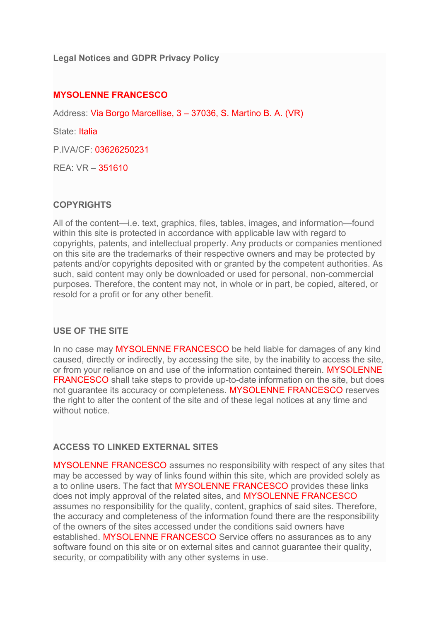**Legal Notices and GDPR Privacy Policy**

# **MYSOLENNE FRANCESCO**

Address: Via Borgo Marcellise, 3 – 37036, S. Martino B. A. (VR)

State: Italia

P.IVA/CF: 03626250231

REA: VR – 351610

# **COPYRIGHTS**

All of the content—i.e. text, graphics, files, tables, images, and information—found within this site is protected in accordance with applicable law with regard to copyrights, patents, and intellectual property. Any products or companies mentioned on this site are the trademarks of their respective owners and may be protected by patents and/or copyrights deposited with or granted by the competent authorities. As such, said content may only be downloaded or used for personal, non-commercial purposes. Therefore, the content may not, in whole or in part, be copied, altered, or resold for a profit or for any other benefit.

### **USE OF THE SITE**

In no case may MYSOLENNE FRANCESCO be held liable for damages of any kind caused, directly or indirectly, by accessing the site, by the inability to access the site, or from your reliance on and use of the information contained therein. MYSOLENNE FRANCESCO shall take steps to provide up-to-date information on the site, but does not guarantee its accuracy or completeness. MYSOLENNE FRANCESCO reserves the right to alter the content of the site and of these legal notices at any time and without notice

## **ACCESS TO LINKED EXTERNAL SITES**

MYSOLENNE FRANCESCO assumes no responsibility with respect of any sites that may be accessed by way of links found within this site, which are provided solely as a to online users. The fact that MYSOLENNE FRANCESCO provides these links does not imply approval of the related sites, and MYSOLENNE FRANCESCO assumes no responsibility for the quality, content, graphics of said sites. Therefore, the accuracy and completeness of the information found there are the responsibility of the owners of the sites accessed under the conditions said owners have established. MYSOLENNE FRANCESCO Service offers no assurances as to any software found on this site or on external sites and cannot guarantee their quality, security, or compatibility with any other systems in use.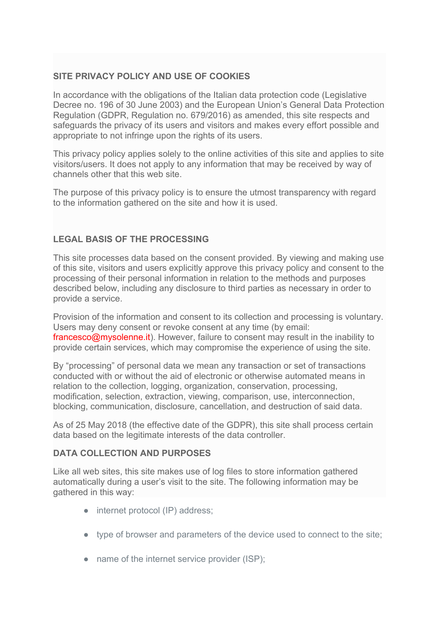# **SITE PRIVACY POLICY AND USE OF COOKIES**

In accordance with the obligations of the Italian data protection code (Legislative Decree no. 196 of 30 June 2003) and the European Union's General Data Protection Regulation (GDPR, Regulation no. 679/2016) as amended, this site respects and safeguards the privacy of its users and visitors and makes every effort possible and appropriate to not infringe upon the rights of its users.

This privacy policy applies solely to the online activities of this site and applies to site visitors/users. It does not apply to any information that may be received by way of channels other that this web site.

The purpose of this privacy policy is to ensure the utmost transparency with regard to the information gathered on the site and how it is used.

## **LEGAL BASIS OF THE PROCESSING**

This site processes data based on the consent provided. By viewing and making use of this site, visitors and users explicitly approve this privacy policy and consent to the processing of their personal information in relation to the methods and purposes described below, including any disclosure to third parties as necessary in order to provide a service.

Provision of the information and consent to its collection and processing is voluntary. Users may deny consent or revoke consent at any time (by email: francesco@mysolenne.it). However, failure to consent may result in the inability to provide certain services, which may compromise the experience of using the site.

By "processing" of personal data we mean any transaction or set of transactions conducted with or without the aid of electronic or otherwise automated means in relation to the collection, logging, organization, conservation, processing, modification, selection, extraction, viewing, comparison, use, interconnection, blocking, communication, disclosure, cancellation, and destruction of said data.

As of 25 May 2018 (the effective date of the GDPR), this site shall process certain data based on the legitimate interests of the data controller.

## **DATA COLLECTION AND PURPOSES**

Like all web sites, this site makes use of log files to store information gathered automatically during a user's visit to the site. The following information may be gathered in this way:

- internet protocol (IP) address;
- type of browser and parameters of the device used to connect to the site;
- name of the internet service provider (ISP);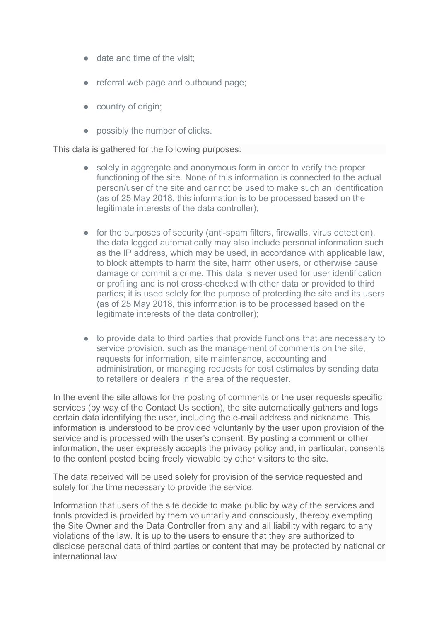- date and time of the visit;
- referral web page and outbound page;
- country of origin;
- possibly the number of clicks.

This data is gathered for the following purposes:

- solely in aggregate and anonymous form in order to verify the proper functioning of the site. None of this information is connected to the actual person/user of the site and cannot be used to make such an identification (as of 25 May 2018, this information is to be processed based on the legitimate interests of the data controller);
- for the purposes of security (anti-spam filters, firewalls, virus detection), the data logged automatically may also include personal information such as the IP address, which may be used, in accordance with applicable law, to block attempts to harm the site, harm other users, or otherwise cause damage or commit a crime. This data is never used for user identification or profiling and is not cross-checked with other data or provided to third parties; it is used solely for the purpose of protecting the site and its users (as of 25 May 2018, this information is to be processed based on the legitimate interests of the data controller);
- to provide data to third parties that provide functions that are necessary to service provision, such as the management of comments on the site, requests for information, site maintenance, accounting and administration, or managing requests for cost estimates by sending data to retailers or dealers in the area of the requester.

In the event the site allows for the posting of comments or the user requests specific services (by way of the Contact Us section), the site automatically gathers and logs certain data identifying the user, including the e-mail address and nickname. This information is understood to be provided voluntarily by the user upon provision of the service and is processed with the user's consent. By posting a comment or other information, the user expressly accepts the privacy policy and, in particular, consents to the content posted being freely viewable by other visitors to the site.

The data received will be used solely for provision of the service requested and solely for the time necessary to provide the service.

Information that users of the site decide to make public by way of the services and tools provided is provided by them voluntarily and consciously, thereby exempting the Site Owner and the Data Controller from any and all liability with regard to any violations of the law. It is up to the users to ensure that they are authorized to disclose personal data of third parties or content that may be protected by national or international law.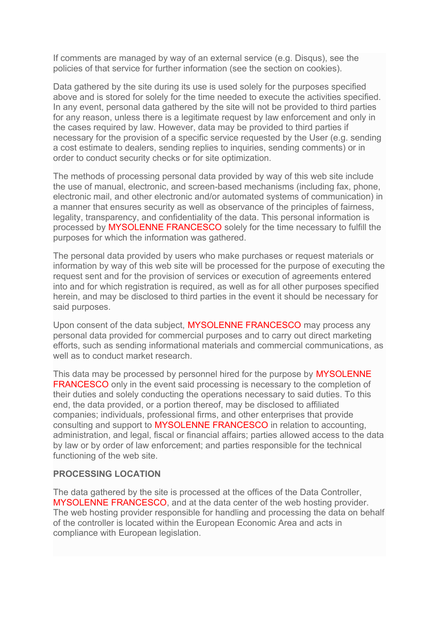If comments are managed by way of an external service (e.g. Disqus), see the policies of that service for further information (see the section on cookies).

Data gathered by the site during its use is used solely for the purposes specified above and is stored for solely for the time needed to execute the activities specified. In any event, personal data gathered by the site will not be provided to third parties for any reason, unless there is a legitimate request by law enforcement and only in the cases required by law. However, data may be provided to third parties if necessary for the provision of a specific service requested by the User (e.g. sending a cost estimate to dealers, sending replies to inquiries, sending comments) or in order to conduct security checks or for site optimization.

The methods of processing personal data provided by way of this web site include the use of manual, electronic, and screen-based mechanisms (including fax, phone, electronic mail, and other electronic and/or automated systems of communication) in a manner that ensures security as well as observance of the principles of fairness, legality, transparency, and confidentiality of the data. This personal information is processed by MYSOLENNE FRANCESCO solely for the time necessary to fulfill the purposes for which the information was gathered.

The personal data provided by users who make purchases or request materials or information by way of this web site will be processed for the purpose of executing the request sent and for the provision of services or execution of agreements entered into and for which registration is required, as well as for all other purposes specified herein, and may be disclosed to third parties in the event it should be necessary for said purposes.

Upon consent of the data subject, MYSOLENNE FRANCESCO may process any personal data provided for commercial purposes and to carry out direct marketing efforts, such as sending informational materials and commercial communications, as well as to conduct market research.

This data may be processed by personnel hired for the purpose by MYSOLENNE FRANCESCO only in the event said processing is necessary to the completion of their duties and solely conducting the operations necessary to said duties. To this end, the data provided, or a portion thereof, may be disclosed to affiliated companies; individuals, professional firms, and other enterprises that provide consulting and support to MYSOLENNE FRANCESCO in relation to accounting, administration, and legal, fiscal or financial affairs; parties allowed access to the data by law or by order of law enforcement; and parties responsible for the technical functioning of the web site.

### **PROCESSING LOCATION**

The data gathered by the site is processed at the offices of the Data Controller, MYSOLENNE FRANCESCO, and at the data center of the web hosting provider. The web hosting provider responsible for handling and processing the data on behalf of the controller is located within the European Economic Area and acts in compliance with European legislation.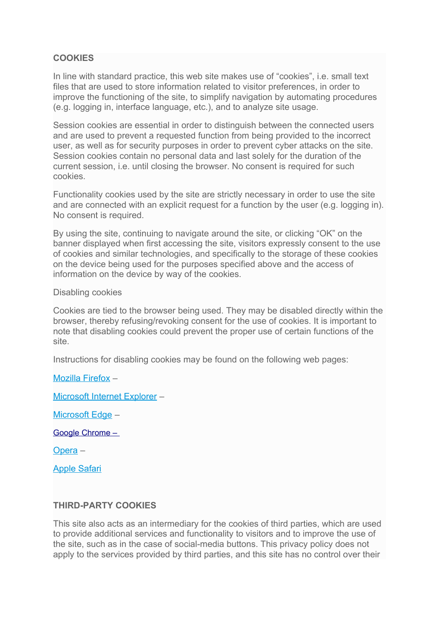## **COOKIES**

In line with standard practice, this web site makes use of "cookies", i.e. small text files that are used to store information related to visitor preferences, in order to improve the functioning of the site, to simplify navigation by automating procedures (e.g. logging in, interface language, etc.), and to analyze site usage.

Session cookies are essential in order to distinguish between the connected users and are used to prevent a requested function from being provided to the incorrect user, as well as for security purposes in order to prevent cyber attacks on the site. Session cookies contain no personal data and last solely for the duration of the current session, i.e. until closing the browser. No consent is required for such cookies.

Functionality cookies used by the site are strictly necessary in order to use the site and are connected with an explicit request for a function by the user (e.g. logging in). No consent is required.

By using the site, continuing to navigate around the site, or clicking "OK" on the banner displayed when first accessing the site, visitors expressly consent to the use of cookies and similar technologies, and specifically to the storage of these cookies on the device being used for the purposes specified above and the access of information on the device by way of the cookies.

#### Disabling cookies

Cookies are tied to the browser being used. They may be disabled directly within the browser, thereby refusing/revoking consent for the use of cookies. It is important to note that disabling cookies could prevent the proper use of certain functions of the site.

Instructions for disabling cookies may be found on the following web pages:

[Mozilla Firefox](https://support.mozilla.org/it/kb/Attivare%20e%20disattivare%20i%20cookie) –

[Microsoft Internet Explorer](https://support.microsoft.com/it-it/help/17442/windows-internet-explorer-delete-manage-cookies) –

[Microsoft Edge](https://support.microsoft.com/it-it/help/4027947/windows-delete-cookies) –

 [Google Chrome](https://support.google.com/chrome/answer/95647?hl=it) [–](http://support.google.com/chrome/bin/answer.py?hl=it&answer=95647) 

[Opera](http://help.opera.com/Windows/10.00/it/cookies.html) –

[Apple Safari](https://support.apple.com/it-it/HT201265)

### **THIRD-PARTY COOKIES**

This site also acts as an intermediary for the cookies of third parties, which are used to provide additional services and functionality to visitors and to improve the use of the site, such as in the case of social-media buttons. This privacy policy does not apply to the services provided by third parties, and this site has no control over their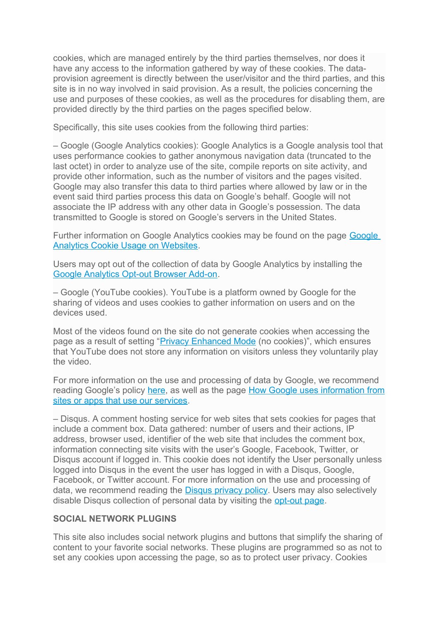cookies, which are managed entirely by the third parties themselves, nor does it have any access to the information gathered by way of these cookies. The dataprovision agreement is directly between the user/visitor and the third parties, and this site is in no way involved in said provision. As a result, the policies concerning the use and purposes of these cookies, as well as the procedures for disabling them, are provided directly by the third parties on the pages specified below.

Specifically, this site uses cookies from the following third parties:

– Google (Google Analytics cookies): Google Analytics is a Google analysis tool that uses performance cookies to gather anonymous navigation data (truncated to the last octet) in order to analyze use of the site, compile reports on site activity, and provide other information, such as the number of visitors and the pages visited. Google may also transfer this data to third parties where allowed by law or in the event said third parties process this data on Google's behalf. Google will not associate the IP address with any other data in Google's possession. The data transmitted to Google is stored on Google's servers in the United States.

Further information on Google Analytics cookies may be found on the page [Google](https://developers.google.com/analytics/devguides/collection/analyticsjs/cookie-usage)  [Analytics Cookie Usage on Websites.](https://developers.google.com/analytics/devguides/collection/analyticsjs/cookie-usage)

Users may opt out of the collection of data by Google Analytics by installing the [Google Analytics Opt-out Browser Add-on.](https://tools.google.com/dlpage/gaoptout)

– Google (YouTube cookies). YouTube is a platform owned by Google for the sharing of videos and uses cookies to gather information on users and on the devices used.

Most of the videos found on the site do not generate cookies when accessing the page as a result of setting ["Privacy Enhanced Mode](https://support.google.com/youtube/answer/171780?expand=PrivacyEnhancedMode#privacy) (no cookies)", which ensures that YouTube does not store any information on visitors unless they voluntarily play the video.

For more information on the use and processing of data by Google, we recommend reading Google's policy [here,](http://www.google.com/intl/it/policies/privacy/) as well as the page [How Google uses information from](https://policies.google.com/privacy/partners?hl=en) [sites or apps that use our services.](https://policies.google.com/privacy/partners?hl=en)

– Disqus. A comment hosting service for web sites that sets cookies for pages that include a comment box. Data gathered: number of users and their actions, IP address, browser used, identifier of the web site that includes the comment box, information connecting site visits with the user's Google, Facebook, Twitter, or Disqus account if logged in. This cookie does not identify the User personally unless logged into Disqus in the event the user has logged in with a Disqus, Google, Facebook, or Twitter account. For more information on the use and processing of data, we recommend reading the [Disqus privacy policy.](https://help.disqus.com/customer/portal/articles/466259-privacy-policy) Users may also selectively disable Disqus collection of personal data by visiting the [opt-out page.](https://help.disqus.com/customer/portal/articles/1657951)

### **SOCIAL NETWORK PLUGINS**

This site also includes social network plugins and buttons that simplify the sharing of content to your favorite social networks. These plugins are programmed so as not to set any cookies upon accessing the page, so as to protect user privacy. Cookies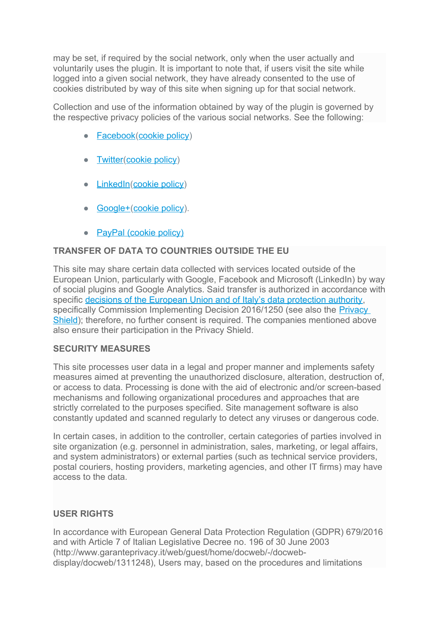may be set, if required by the social network, only when the user actually and voluntarily uses the plugin. It is important to note that, if users visit the site while logged into a given social network, they have already consented to the use of cookies distributed by way of this site when signing up for that social network.

Collection and use of the information obtained by way of the plugin is governed by the respective privacy policies of the various social networks. See the following:

- [Facebook](https://www.facebook.com/about/privacy/)[\(cookie policy\)](https://www.facebook.com/help/cookies/)
- [Twitter](https://twitter.com/privacy?lang=it)[\(cookie policy\)](https://help.twitter.com/en/rules-and-policies/twitter-cookies)
- **[LinkedIn\(](https://www.linkedin.com/legal/privacy-policy)[cookie policy\)](https://www.linkedin.com/legal/cookie-policy)**
- [Google+\(](http://www.google.com/intl/it/policies/privacy/)[cookie policy\)](https://policies.google.com/technologies/cookies?hl=en).
- [PayPal \(cookie policy\)](https://www.paypal.com/us/webapps/mpp/ua/cookie-full)

## **TRANSFER OF DATA TO COUNTRIES OUTSIDE THE EU**

This site may share certain data collected with services located outside of the European Union, particularly with Google, Facebook and Microsoft (LinkedIn) by way of social plugins and Google Analytics. Said transfer is authorized in accordance with specific [decisions of the European Union and of Italy's data protection authority,](http://eur-lex.europa.eu/legal-content/EN/TXT/?uri=CELEX:32016D1250) specifically Commission Implementing Decision 2016/1250 (see also the **Privacy** [Shield\)](http://eur-lex.europa.eu/legal-content/EN/TXT/?uri=CELEX:32016D1250); therefore, no further consent is required. The companies mentioned above also ensure their participation in the Privacy Shield.

### **SECURITY MEASURES**

This site processes user data in a legal and proper manner and implements safety measures aimed at preventing the unauthorized disclosure, alteration, destruction of, or access to data. Processing is done with the aid of electronic and/or screen-based mechanisms and following organizational procedures and approaches that are strictly correlated to the purposes specified. Site management software is also constantly updated and scanned regularly to detect any viruses or dangerous code.

In certain cases, in addition to the controller, certain categories of parties involved in site organization (e.g. personnel in administration, sales, marketing, or legal affairs, and system administrators) or external parties (such as technical service providers, postal couriers, hosting providers, marketing agencies, and other IT firms) may have access to the data.

## **USER RIGHTS**

In accordance with European General Data Protection Regulation (GDPR) 679/2016 and with Article 7 of Italian Legislative Decree no. 196 of 30 June 2003 (http://www.garanteprivacy.it/web/guest/home/docweb/-/docwebdisplay/docweb/1311248), Users may, based on the procedures and limitations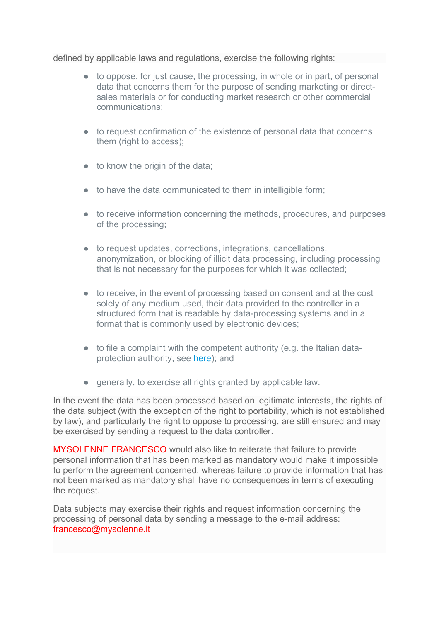defined by applicable laws and regulations, exercise the following rights:

- to oppose, for just cause, the processing, in whole or in part, of personal data that concerns them for the purpose of sending marketing or directsales materials or for conducting market research or other commercial communications;
- to request confirmation of the existence of personal data that concerns them (right to access);
- $\bullet$  to know the origin of the data;
- to have the data communicated to them in intelligible form;
- to receive information concerning the methods, procedures, and purposes of the processing;
- to request updates, corrections, integrations, cancellations, anonymization, or blocking of illicit data processing, including processing that is not necessary for the purposes for which it was collected;
- to receive, in the event of processing based on consent and at the cost solely of any medium used, their data provided to the controller in a structured form that is readable by data-processing systems and in a format that is commonly used by electronic devices;
- $\bullet$  to file a complaint with the competent authority (e.g. the Italian dataprotection authority, see [here\)](http://www.garanteprivacy.it/web/guest/home/docweb/-/docweb-display/docweb/4535524); and
- generally, to exercise all rights granted by applicable law.

In the event the data has been processed based on legitimate interests, the rights of the data subject (with the exception of the right to portability, which is not established by law), and particularly the right to oppose to processing, are still ensured and may be exercised by sending a request to the data controller.

MYSOLENNE FRANCESCO would also like to reiterate that failure to provide personal information that has been marked as mandatory would make it impossible to perform the agreement concerned, whereas failure to provide information that has not been marked as mandatory shall have no consequences in terms of executing the request.

Data subjects may exercise their rights and request information concerning the processing of personal data by sending a message to the e-mail address: francesco@mysolenne.it